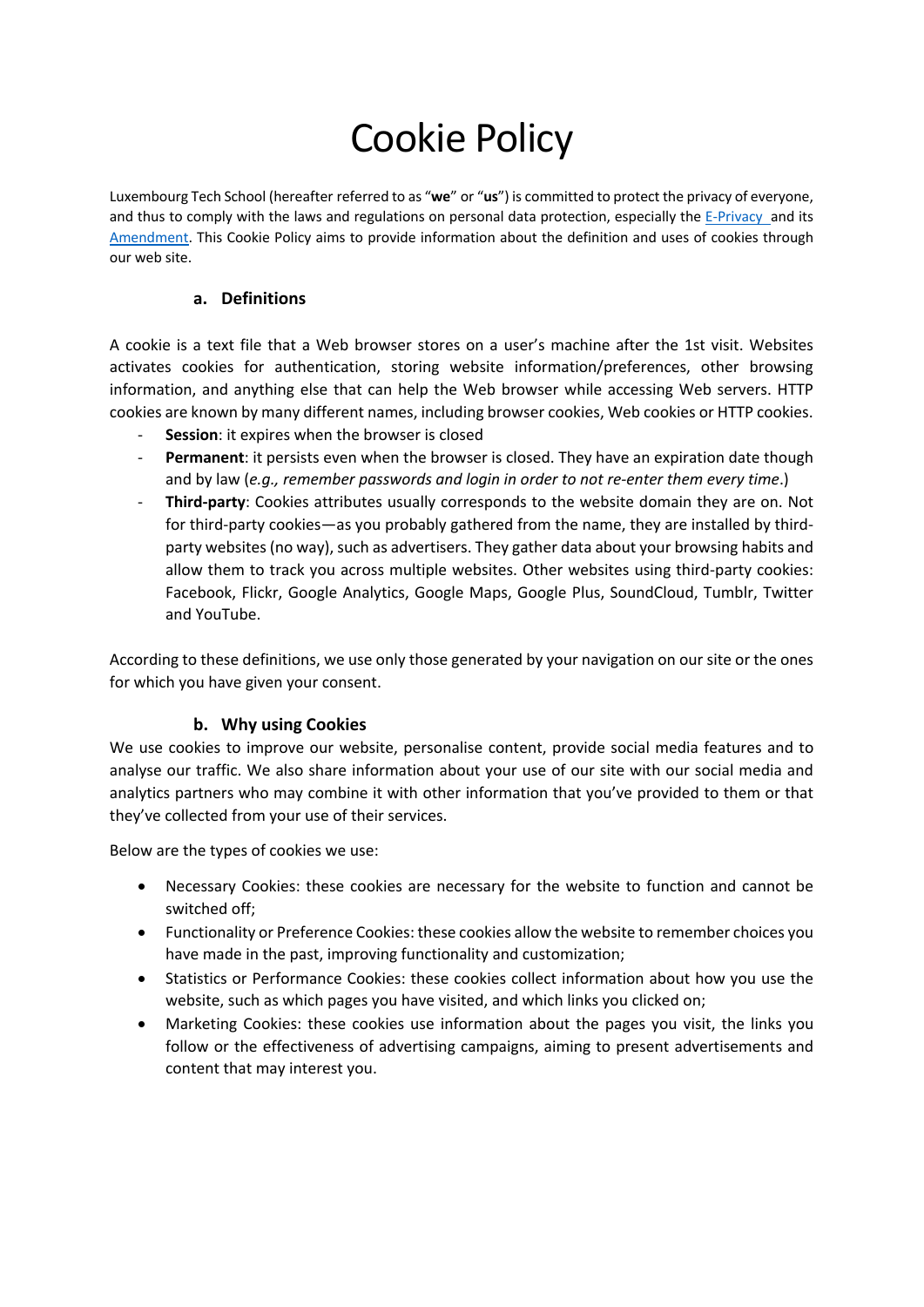# Cookie Policy

Luxembourg Tech School (hereafter referred to as "**we**" or "**us**") is committed to protect the privacy of everyone, and thus to comply with the laws and regulations on personal data protection, especially the E-Privacy and its Amendment. This Cookie Policy aims to provide information about the definition and uses of cookies through our web site.

#### **a. Definitions**

A cookie is a text file that a Web browser stores on a user's machine after the 1st visit. Websites activates cookies for authentication, storing website information/preferences, other browsing information, and anything else that can help the Web browser while accessing Web servers. HTTP cookies are known by many different names, including browser cookies, Web cookies or HTTP cookies.

- **Session**: it expires when the browser is closed
- **Permanent**: it persists even when the browser is closed. They have an expiration date though and by law (*e.g., remember passwords and login in order to not re-enter them every time*.)
- Third-party: Cookies attributes usually corresponds to the website domain they are on. Not for third-party cookies—as you probably gathered from the name, they are installed by thirdparty websites (no way), such as advertisers. They gather data about your browsing habits and allow them to track you across multiple websites. Other websites using third-party cookies: Facebook, Flickr, Google Analytics, Google Maps, Google Plus, SoundCloud, Tumblr, Twitter and YouTube.

According to these definitions, we use only those generated by your navigation on our site or the ones for which you have given your consent.

#### **b. Why using Cookies**

We use cookies to improve our website, personalise content, provide social media features and to analyse our traffic. We also share information about your use of our site with our social media and analytics partners who may combine it with other information that you've provided to them or that they've collected from your use of their services.

Below are the types of cookies we use:

- Necessary Cookies: these cookies are necessary for the website to function and cannot be switched off;
- Functionality or Preference Cookies: these cookies allow the website to remember choices you have made in the past, improving functionality and customization;
- Statistics or Performance Cookies: these cookies collect information about how you use the website, such as which pages you have visited, and which links you clicked on;
- Marketing Cookies: these cookies use information about the pages you visit, the links you follow or the effectiveness of advertising campaigns, aiming to present advertisements and content that may interest you.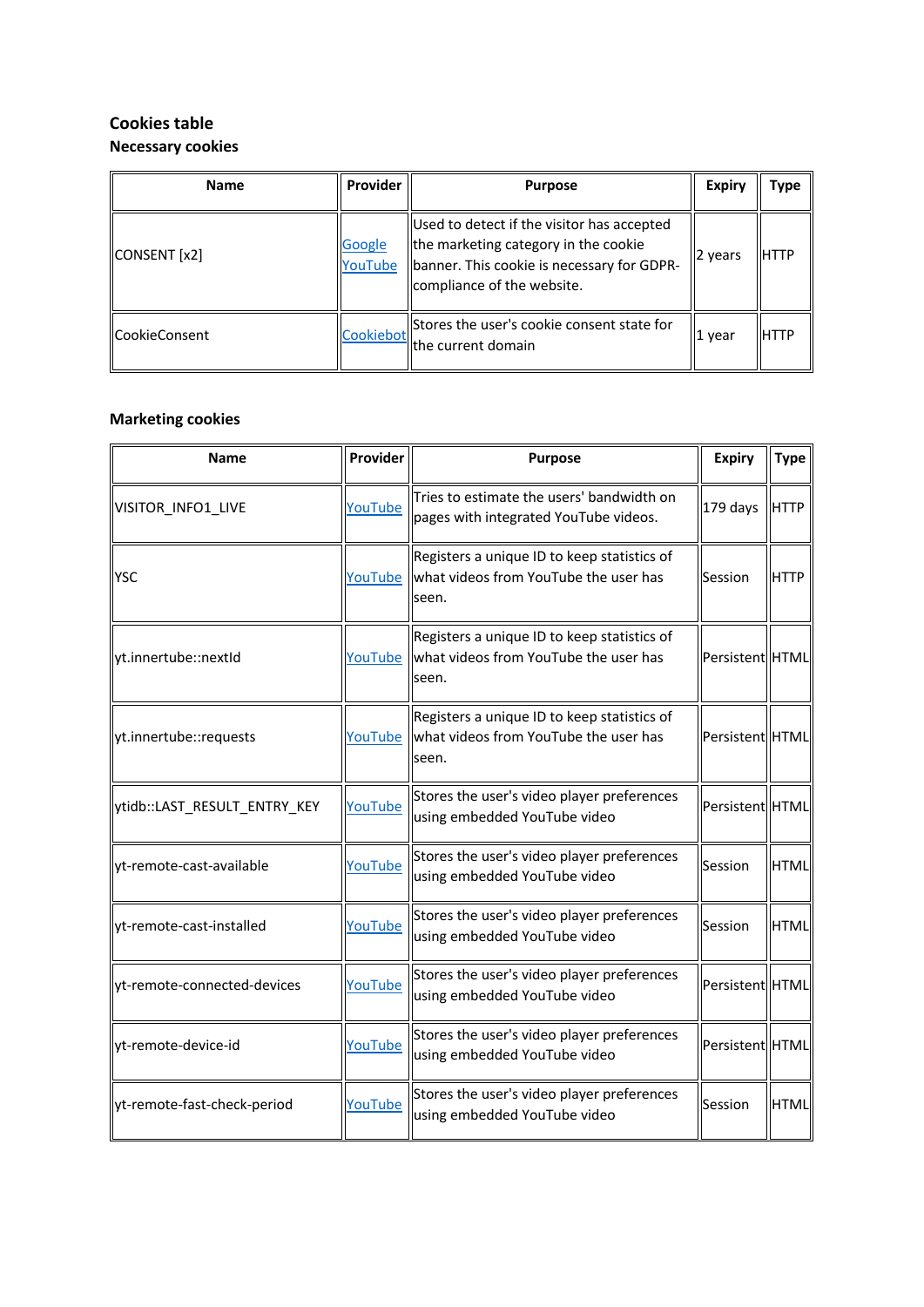## **Cookies table Necessary cookies**

| <b>Name</b>     | Provider                 | <b>Purpose</b>                                                                                                                                                 | <b>Expiry</b> | <b>Type</b> |
|-----------------|--------------------------|----------------------------------------------------------------------------------------------------------------------------------------------------------------|---------------|-------------|
| CONSENT [x2]    | <b>Google</b><br>YouTube | Used to detect if the visitor has accepted<br>the marketing category in the cookie<br>banner. This cookie is necessary for GDPR-<br>compliance of the website. | 2 years       | IHTTP       |
| llCookieConsent | Cookiebot                | Stores the user's cookie consent state for<br>llthe current domain                                                                                             | 1 year        | IIHTTP      |

#### **Marketing cookies**

| <b>Name</b>                  | Provider | Purpose                                                                                                 | <b>Expiry</b>   | <b>Type</b> |
|------------------------------|----------|---------------------------------------------------------------------------------------------------------|-----------------|-------------|
| VISITOR_INFO1_LIVE           | YouTube  | Tries to estimate the users' bandwidth on<br>pages with integrated YouTube videos.                      | 179 days        | <b>HTTP</b> |
| <b>IYSC</b>                  |          | Registers a unique ID to keep statistics of<br>YouTube   what videos from YouTube the user has<br>seen. | Session         | <b>HTTP</b> |
| yt.innertube::nextId         | YouTube  | Registers a unique ID to keep statistics of<br>what videos from YouTube the user has<br>seen.           | Persistent HTML |             |
| yt.innertube::requests       | YouTube  | Registers a unique ID to keep statistics of<br>what videos from YouTube the user has<br>seen.           | Persistent HTML |             |
| ytidb::LAST_RESULT_ENTRY_KEY | YouTube  | Stores the user's video player preferences<br>using embedded YouTube video                              | Persistent HTML |             |
| yt-remote-cast-available     | YouTube  | Stores the user's video player preferences<br>using embedded YouTube video                              | Session         | <b>HTML</b> |
| yt-remote-cast-installed     | YouTube  | Stores the user's video player preferences<br>using embedded YouTube video                              | Session         | <b>HTML</b> |
| yt-remote-connected-devices  | YouTube  | Stores the user's video player preferences<br>using embedded YouTube video                              | Persistent HTML |             |
| yt-remote-device-id          | YouTube  | Stores the user's video player preferences<br>using embedded YouTube video                              | Persistent HTML |             |
| yt-remote-fast-check-period  | YouTube  | Stores the user's video player preferences<br>using embedded YouTube video                              | Session         | <b>HTML</b> |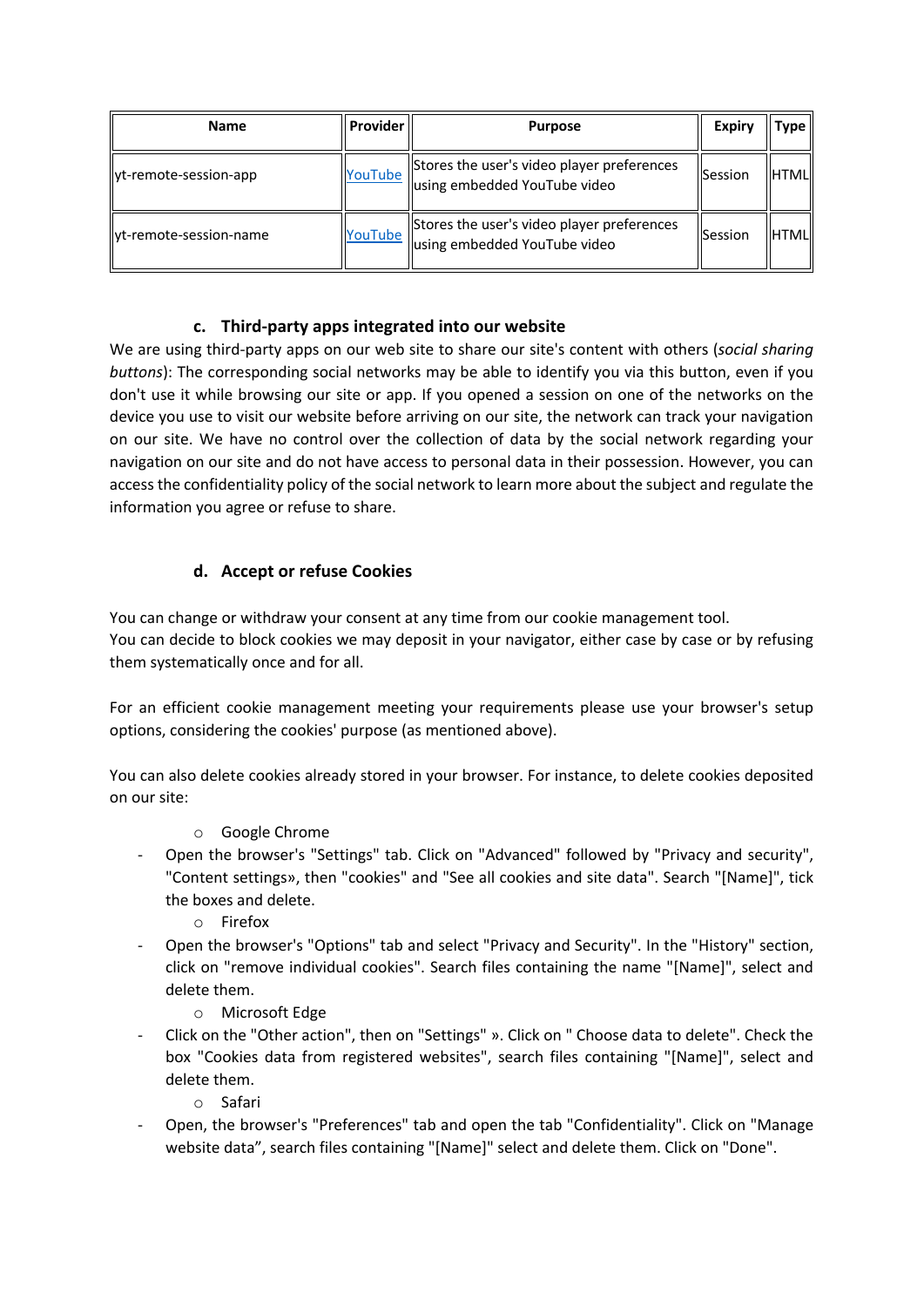| <b>Name</b>              | <b>Provider</b> | <b>Purpose</b>                                                             | Expiry         | Type <sub>  </sub> |
|--------------------------|-----------------|----------------------------------------------------------------------------|----------------|--------------------|
| lyt-remote-session-app   | YouTube         | Stores the user's video player preferences<br>using embedded YouTube video | <b>Session</b> | <b>HTML</b>        |
| llyt-remote-session-name | YouTube         | Stores the user's video player preferences<br>using embedded YouTube video | <b>Session</b> | <b>HTML</b>        |

### **c. Third-party apps integrated into our website**

We are using third-party apps on our web site to share our site's content with others (*social sharing buttons*): The corresponding social networks may be able to identify you via this button, even if you don't use it while browsing our site or app. If you opened a session on one of the networks on the device you use to visit our website before arriving on our site, the network can track your navigation on our site. We have no control over the collection of data by the social network regarding your navigation on our site and do not have access to personal data in their possession. However, you can access the confidentiality policy of the social network to learn more about the subject and regulate the information you agree or refuse to share.

## **d. Accept or refuse Cookies**

You can change or withdraw your consent at any time from our cookie management tool.

You can decide to block cookies we may deposit in your navigator, either case by case or by refusing them systematically once and for all.

For an efficient cookie management meeting your requirements please use your browser's setup options, considering the cookies' purpose (as mentioned above).

You can also delete cookies already stored in your browser. For instance, to delete cookies deposited on our site:

- o Google Chrome
- Open the browser's "Settings" tab. Click on "Advanced" followed by "Privacy and security", "Content settings», then "cookies" and "See all cookies and site data". Search "[Name]", tick the boxes and delete.
	- o Firefox
- Open the browser's "Options" tab and select "Privacy and Security". In the "History" section, click on "remove individual cookies". Search files containing the name "[Name]", select and delete them.
	- o Microsoft Edge
- Click on the "Other action", then on "Settings" ». Click on " Choose data to delete". Check the box "Cookies data from registered websites", search files containing "[Name]", select and delete them.
	- o Safari
- Open, the browser's "Preferences" tab and open the tab "Confidentiality". Click on "Manage website data", search files containing "[Name]" select and delete them. Click on "Done".